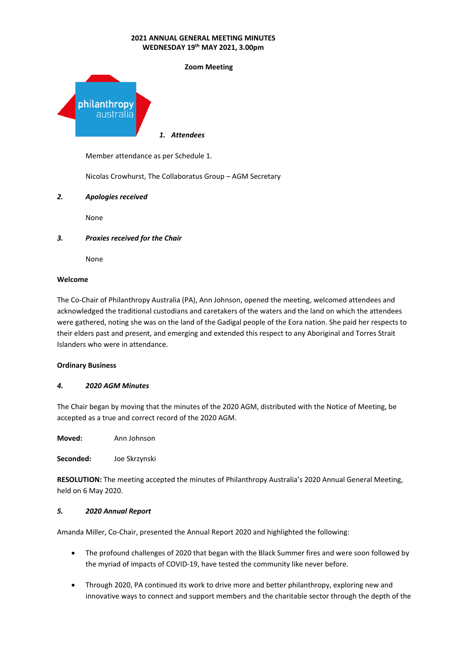

Member attendance as per Schedule 1.

Nicolas Crowhurst, The Collaboratus Group – AGM Secretary

# *2. Apologies received*

None

# *3. Proxies received for the Chair*

None

#### **Welcome**

The Co-Chair of Philanthropy Australia (PA), Ann Johnson, opened the meeting, welcomed attendees and acknowledged the traditional custodians and caretakers of the waters and the land on which the attendees were gathered, noting she was on the land of the Gadigal people of the Eora nation. She paid her respects to their elders past and present, and emerging and extended this respect to any Aboriginal and Torres Strait Islanders who were in attendance.

#### **Ordinary Business**

#### *4. 2020 AGM Minutes*

The Chair began by moving that the minutes of the 2020 AGM, distributed with the Notice of Meeting, be accepted as a true and correct record of the 2020 AGM.

**Moved:** Ann Johnson

**Seconded:** Joe Skrzynski

**RESOLUTION:** The meeting accepted the minutes of Philanthropy Australia's 2020 Annual General Meeting, held on 6 May 2020.

#### *5. 2020 Annual Report*

Amanda Miller, Co-Chair, presented the Annual Report 2020 and highlighted the following:

- The profound challenges of 2020 that began with the Black Summer fires and were soon followed by the myriad of impacts of COVID-19, have tested the community like never before.
- Through 2020, PA continued its work to drive more and better philanthropy, exploring new and innovative ways to connect and support members and the charitable sector through the depth of the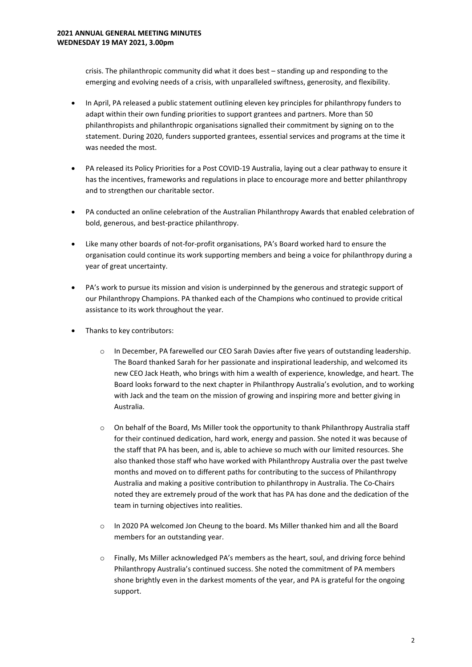crisis. The philanthropic community did what it does best – standing up and responding to the emerging and evolving needs of a crisis, with unparalleled swiftness, generosity, and flexibility.

- In April, PA released a public statement outlining eleven key principles for philanthropy funders to adapt within their own funding priorities to support grantees and partners. More than 50 philanthropists and philanthropic organisations signalled their commitment by signing on to the statement. During 2020, funders supported grantees, essential services and programs at the time it was needed the most.
- PA released its Policy Priorities for a Post COVID-19 Australia, laying out a clear pathway to ensure it has the incentives, frameworks and regulations in place to encourage more and better philanthropy and to strengthen our charitable sector.
- PA conducted an online celebration of the Australian Philanthropy Awards that enabled celebration of bold, generous, and best-practice philanthropy.
- Like many other boards of not-for-profit organisations, PA's Board worked hard to ensure the organisation could continue its work supporting members and being a voice for philanthropy during a year of great uncertainty.
- PA's work to pursue its mission and vision is underpinned by the generous and strategic support of our Philanthropy Champions. PA thanked each of the Champions who continued to provide critical assistance to its work throughout the year.
- Thanks to key contributors:
	- o In December, PA farewelled our CEO Sarah Davies after five years of outstanding leadership. The Board thanked Sarah for her passionate and inspirational leadership, and welcomed its new CEO Jack Heath, who brings with him a wealth of experience, knowledge, and heart. The Board looks forward to the next chapter in Philanthropy Australia's evolution, and to working with Jack and the team on the mission of growing and inspiring more and better giving in Australia.
	- o On behalf of the Board, Ms Miller took the opportunity to thank Philanthropy Australia staff for their continued dedication, hard work, energy and passion. She noted it was because of the staff that PA has been, and is, able to achieve so much with our limited resources. She also thanked those staff who have worked with Philanthropy Australia over the past twelve months and moved on to different paths for contributing to the success of Philanthropy Australia and making a positive contribution to philanthropy in Australia. The Co-Chairs noted they are extremely proud of the work that has PA has done and the dedication of the team in turning objectives into realities.
	- $\circ$  In 2020 PA welcomed Jon Cheung to the board. Ms Miller thanked him and all the Board members for an outstanding year.
	- Finally, Ms Miller acknowledged PA's members as the heart, soul, and driving force behind Philanthropy Australia's continued success. She noted the commitment of PA members shone brightly even in the darkest moments of the year, and PA is grateful for the ongoing support.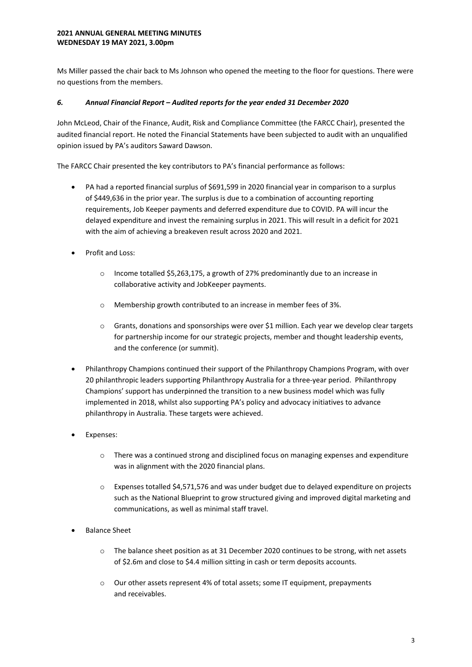Ms Miller passed the chair back to Ms Johnson who opened the meeting to the floor for questions. There were no questions from the members.

# *6. Annual Financial Report – Audited reports for the year ended 31 December 2020*

John McLeod, Chair of the Finance, Audit, Risk and Compliance Committee (the FARCC Chair), presented the audited financial report. He noted the Financial Statements have been subjected to audit with an unqualified opinion issued by PA's auditors Saward Dawson.

The FARCC Chair presented the key contributors to PA's financial performance as follows:

- PA had a reported financial surplus of \$691,599 in 2020 financial year in comparison to a surplus of \$449,636 in the prior year. The surplus is due to a combination of accounting reporting requirements, Job Keeper payments and deferred expenditure due to COVID. PA will incur the delayed expenditure and invest the remaining surplus in 2021. This will result in a deficit for 2021 with the aim of achieving a breakeven result across 2020 and 2021.
- Profit and Loss:
	- o Income totalled \$5,263,175, a growth of 27% predominantly due to an increase in collaborative activity and JobKeeper payments.
	- o Membership growth contributed to an increase in member fees of 3%.
	- $\circ$  Grants, donations and sponsorships were over \$1 million. Each year we develop clear targets for partnership income for our strategic projects, member and thought leadership events, and the conference (or summit).
- Philanthropy Champions continued their support of the Philanthropy Champions Program, with over 20 philanthropic leaders supporting Philanthropy Australia for a three-year period. Philanthropy Champions' support has underpinned the transition to a new business model which was fully implemented in 2018, whilst also supporting PA's policy and advocacy initiatives to advance philanthropy in Australia. These targets were achieved.
- Expenses:
	- $\circ$  There was a continued strong and disciplined focus on managing expenses and expenditure was in alignment with the 2020 financial plans.
	- o Expenses totalled \$4,571,576 and was under budget due to delayed expenditure on projects such as the National Blueprint to grow structured giving and improved digital marketing and communications, as well as minimal staff travel.
- Balance Sheet
	- o The balance sheet position as at 31 December 2020 continues to be strong, with net assets of \$2.6m and close to \$4.4 million sitting in cash or term deposits accounts.
	- o Our other assets represent 4% of total assets; some IT equipment, prepayments and receivables.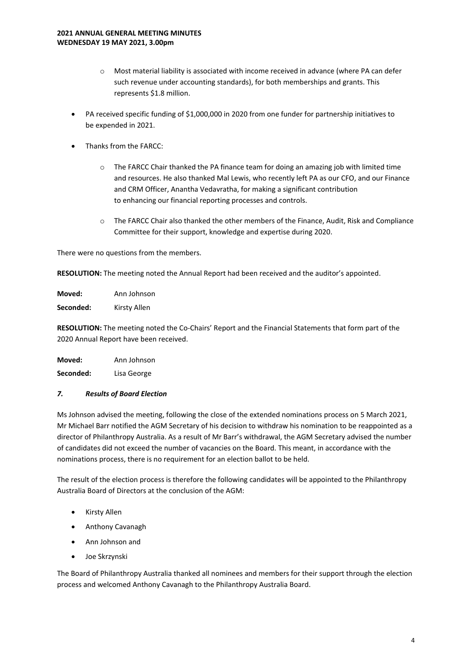- o Most material liability is associated with income received in advance (where PA can defer such revenue under accounting standards), for both memberships and grants. This represents \$1.8 million.
- PA received specific funding of \$1,000,000 in 2020 from one funder for partnership initiatives to be expended in 2021.
- Thanks from the FARCC:
	- $\circ$  The FARCC Chair thanked the PA finance team for doing an amazing job with limited time and resources. He also thanked Mal Lewis, who recently left PA as our CFO, and our Finance and CRM Officer, Anantha Vedavratha, for making a significant contribution to enhancing our financial reporting processes and controls.
	- o The FARCC Chair also thanked the other members of the Finance, Audit, Risk and Compliance Committee for their support, knowledge and expertise during 2020.

There were no questions from the members.

**RESOLUTION:** The meeting noted the Annual Report had been received and the auditor's appointed.

**Moved:** Ann Johnson **Seconded:** Kirsty Allen

**RESOLUTION:** The meeting noted the Co-Chairs' Report and the Financial Statements that form part of the 2020 Annual Report have been received.

| Moved:    | Ann Johnson |
|-----------|-------------|
| Seconded: | Lisa George |

# *7. Results of Board Election*

Ms Johnson advised the meeting, following the close of the extended nominations process on 5 March 2021, Mr Michael Barr notified the AGM Secretary of his decision to withdraw his nomination to be reappointed as a director of Philanthropy Australia. As a result of Mr Barr's withdrawal, the AGM Secretary advised the number of candidates did not exceed the number of vacancies on the Board. This meant, in accordance with the nominations process, there is no requirement for an election ballot to be held.

The result of the election process is therefore the following candidates will be appointed to the Philanthropy Australia Board of Directors at the conclusion of the AGM:

- Kirsty Allen
- Anthony Cavanagh
- Ann Johnson and
- Joe Skrzynski

The Board of Philanthropy Australia thanked all nominees and members for their support through the election process and welcomed Anthony Cavanagh to the Philanthropy Australia Board.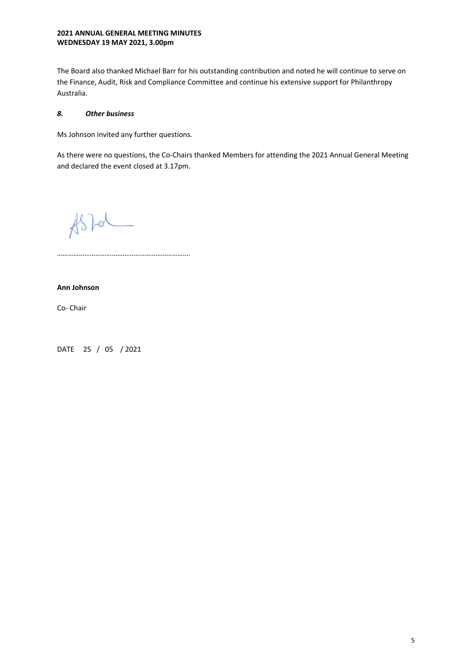The Board also thanked Michael Barr for his outstanding contribution and noted he will continue to serve on the Finance, Audit, Risk and Compliance Committee and continue his extensive support for Philanthropy Australia.

# *8. Other business*

Ms Johnson invited any further questions.

As there were no questions, the Co-Chairs thanked Members for attending the 2021 Annual General Meeting and declared the event closed at 3.17pm.

 $#s$  /or

……………………………………………………………….

# **Ann Johnson**

Co- Chair

DATE 25 / 05 / 2021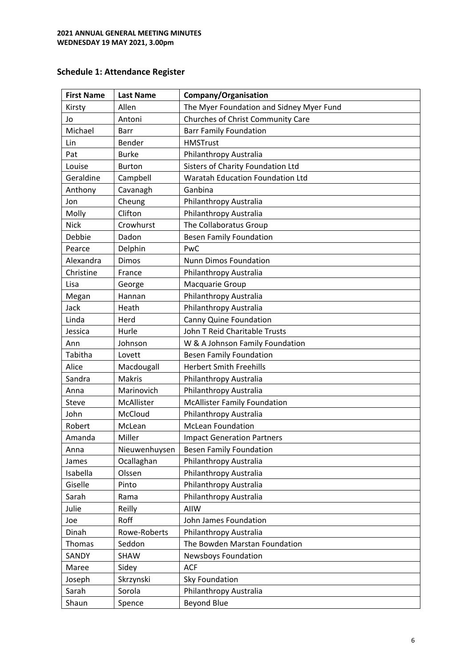# **Schedule 1: Attendance Register**

| <b>First Name</b> | <b>Last Name</b> | Company/Organisation                     |
|-------------------|------------------|------------------------------------------|
| Kirsty            | Allen            | The Myer Foundation and Sidney Myer Fund |
| Jo                | Antoni           | Churches of Christ Community Care        |
| Michael           | <b>Barr</b>      | <b>Barr Family Foundation</b>            |
| Lin               | Bender           | <b>HMSTrust</b>                          |
| Pat               | <b>Burke</b>     | Philanthropy Australia                   |
| Louise            | <b>Burton</b>    | Sisters of Charity Foundation Ltd        |
| Geraldine         | Campbell         | Waratah Education Foundation Ltd         |
| Anthony           | Cavanagh         | Ganbina                                  |
| Jon               | Cheung           | Philanthropy Australia                   |
| Molly             | Clifton          | Philanthropy Australia                   |
| <b>Nick</b>       | Crowhurst        | The Collaboratus Group                   |
| Debbie            | Dadon            | <b>Besen Family Foundation</b>           |
| Pearce            | Delphin          | PwC                                      |
| Alexandra         | <b>Dimos</b>     | Nunn Dimos Foundation                    |
| Christine         | France           | Philanthropy Australia                   |
| Lisa              | George           | Macquarie Group                          |
| Megan             | Hannan           | Philanthropy Australia                   |
| Jack              | Heath            | Philanthropy Australia                   |
| Linda             | Herd             | Canny Quine Foundation                   |
| Jessica           | Hurle            | John T Reid Charitable Trusts            |
| Ann               | Johnson          | W & A Johnson Family Foundation          |
| Tabitha           | Lovett           | <b>Besen Family Foundation</b>           |
| Alice             | Macdougall       | <b>Herbert Smith Freehills</b>           |
| Sandra            | <b>Makris</b>    | Philanthropy Australia                   |
| Anna              | Marinovich       | Philanthropy Australia                   |
| Steve             | McAllister       | <b>McAllister Family Foundation</b>      |
| John              | McCloud          | Philanthropy Australia                   |
| Robert            | McLean           | <b>McLean Foundation</b>                 |
| Amanda            | Miller           | <b>Impact Generation Partners</b>        |
| Anna              | Nieuwenhuysen    | <b>Besen Family Foundation</b>           |
| James             | Ocallaghan       | Philanthropy Australia                   |
| Isabella          | Olssen           | Philanthropy Australia                   |
| Giselle           | Pinto            | Philanthropy Australia                   |
| Sarah             | Rama             | Philanthropy Australia                   |
| Julie             | Reilly           | AIIW                                     |
| Joe               | Roff             | John James Foundation                    |
| Dinah             | Rowe-Roberts     | Philanthropy Australia                   |
| Thomas            | Seddon           | The Bowden Marstan Foundation            |
| SANDY             | SHAW             | Newsboys Foundation                      |
| Maree             | Sidey            | <b>ACF</b>                               |
| Joseph            | Skrzynski        | Sky Foundation                           |
| Sarah             | Sorola           | Philanthropy Australia                   |
| Shaun             | Spence           | <b>Beyond Blue</b>                       |